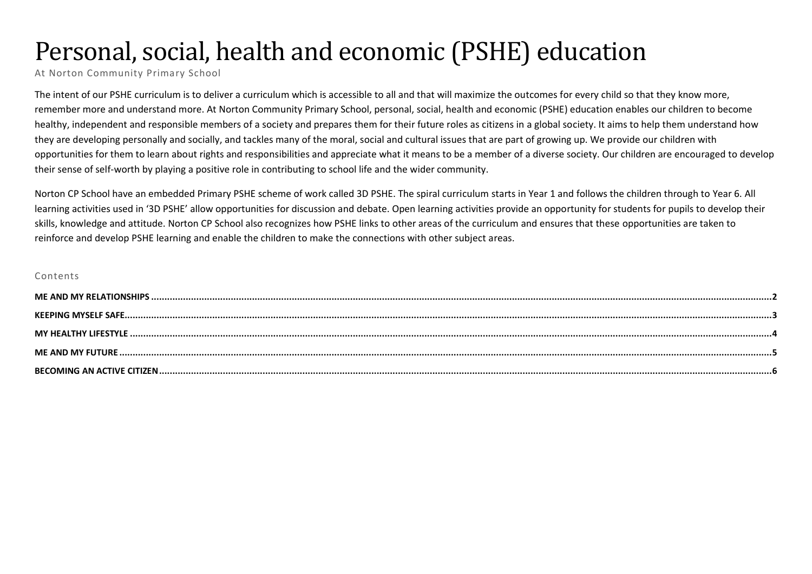# Personal, social, health and economic (PSHE) education

At Norton Community Primary School

The intent of our PSHE curriculum is to deliver a curriculum which is accessible to all and that will maximize the outcomes for every child so that they know more, remember more and understand more. At Norton Community Primary School, personal, social, health and economic (PSHE) education enables our children to become healthy, independent and responsible members of a society and prepares them for their future roles as citizens in a global society. It aims to help them understand how they are developing personally and socially, and tackles many of the moral, social and cultural issues that are part of growing up. We provide our children with opportunities for them to learn about rights and responsibilities and appreciate what it means to be a member of a diverse society. Our children are encouraged to develop their sense of self-worth by playing a positive role in contributing to school life and the wider community.

Norton CP School have an embedded Primary PSHE scheme of work called 3D PSHE. The spiral curriculum starts in Year 1 and follows the children through to Year 6. All learning activities used in '3D PSHE' allow opportunities for discussion and debate. Open learning activities provide an opportunity for students for pupils to develop their skills, knowledge and attitude. Norton CP School also recognizes how PSHE links to other areas of the curriculum and ensures that these opportunities are taken to reinforce and develop PSHE learning and enable the children to make the connections with other subject areas.

#### Contents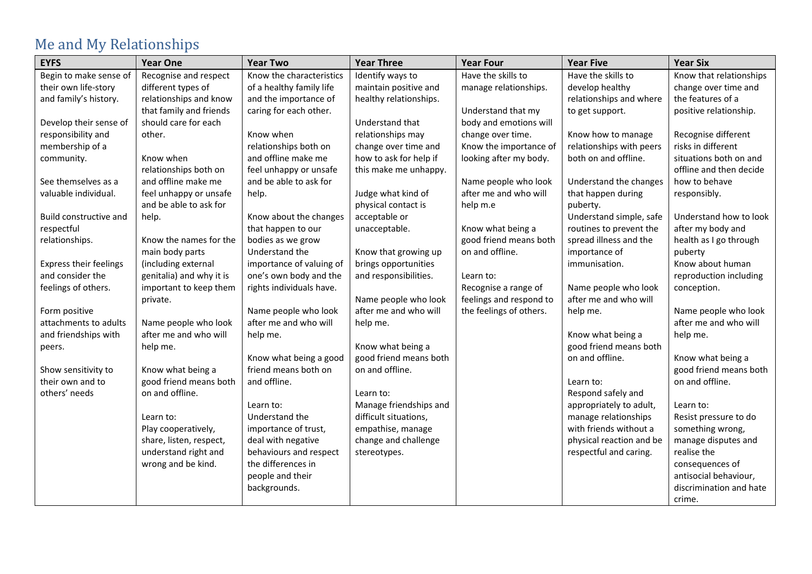# <span id="page-1-0"></span>Me and My Relationships

| <b>EYFS</b>                   | <b>Year One</b>          | <b>Year Two</b>          | <b>Year Three</b>      | <b>Year Four</b>        | <b>Year Five</b>         | <b>Year Six</b>         |
|-------------------------------|--------------------------|--------------------------|------------------------|-------------------------|--------------------------|-------------------------|
| Begin to make sense of        | Recognise and respect    | Know the characteristics | Identify ways to       | Have the skills to      | Have the skills to       | Know that relationships |
| their own life-story          | different types of       | of a healthy family life | maintain positive and  | manage relationships.   | develop healthy          | change over time and    |
| and family's history.         | relationships and know   | and the importance of    | healthy relationships. |                         | relationships and where  | the features of a       |
|                               | that family and friends  | caring for each other.   |                        | Understand that my      | to get support.          | positive relationship.  |
| Develop their sense of        | should care for each     |                          | Understand that        | body and emotions will  |                          |                         |
| responsibility and            | other.                   | Know when                | relationships may      | change over time.       | Know how to manage       | Recognise different     |
| membership of a               |                          | relationships both on    | change over time and   | Know the importance of  | relationships with peers | risks in different      |
| community.                    | Know when                | and offline make me      | how to ask for help if | looking after my body.  | both on and offline.     | situations both on and  |
|                               | relationships both on    | feel unhappy or unsafe   | this make me unhappy.  |                         |                          | offline and then decide |
| See themselves as a           | and offline make me      | and be able to ask for   |                        | Name people who look    | Understand the changes   | how to behave           |
| valuable individual.          | feel unhappy or unsafe   | help.                    | Judge what kind of     | after me and who will   | that happen during       | responsibly.            |
|                               | and be able to ask for   |                          | physical contact is    | help m.e                | puberty.                 |                         |
| Build constructive and        | help.                    | Know about the changes   | acceptable or          |                         | Understand simple, safe  | Understand how to look  |
| respectful                    |                          | that happen to our       | unacceptable.          | Know what being a       | routines to prevent the  | after my body and       |
| relationships.                | Know the names for the   | bodies as we grow        |                        | good friend means both  | spread illness and the   | health as I go through  |
|                               | main body parts          | Understand the           | Know that growing up   | on and offline.         | importance of            | puberty                 |
| <b>Express their feelings</b> | (including external      | importance of valuing of | brings opportunities   |                         | immunisation.            | Know about human        |
| and consider the              | genitalia) and why it is | one's own body and the   | and responsibilities.  | Learn to:               |                          | reproduction including  |
| feelings of others.           | important to keep them   | rights individuals have. |                        | Recognise a range of    | Name people who look     | conception.             |
|                               | private.                 |                          | Name people who look   | feelings and respond to | after me and who will    |                         |
| Form positive                 |                          | Name people who look     | after me and who will  | the feelings of others. | help me.                 | Name people who look    |
| attachments to adults         | Name people who look     | after me and who will    | help me.               |                         |                          | after me and who will   |
| and friendships with          | after me and who will    | help me.                 |                        |                         | Know what being a        | help me.                |
| peers.                        | help me.                 |                          | Know what being a      |                         | good friend means both   |                         |
|                               |                          | Know what being a good   | good friend means both |                         | on and offline.          | Know what being a       |
| Show sensitivity to           | Know what being a        | friend means both on     | on and offline.        |                         |                          | good friend means both  |
| their own and to              | good friend means both   | and offline.             |                        |                         | Learn to:                | on and offline.         |
| others' needs                 | on and offline.          |                          | Learn to:              |                         | Respond safely and       |                         |
|                               |                          | Learn to:                | Manage friendships and |                         | appropriately to adult,  | Learn to:               |
|                               | Learn to:                | Understand the           | difficult situations,  |                         | manage relationships     | Resist pressure to do   |
|                               | Play cooperatively,      | importance of trust,     | empathise, manage      |                         | with friends without a   | something wrong,        |
|                               | share, listen, respect,  | deal with negative       | change and challenge   |                         | physical reaction and be | manage disputes and     |
|                               | understand right and     | behaviours and respect   | stereotypes.           |                         | respectful and caring.   | realise the             |
|                               | wrong and be kind.       | the differences in       |                        |                         |                          | consequences of         |
|                               |                          | people and their         |                        |                         |                          | antisocial behaviour,   |
|                               |                          | backgrounds.             |                        |                         |                          | discrimination and hate |
|                               |                          |                          |                        |                         |                          | crime.                  |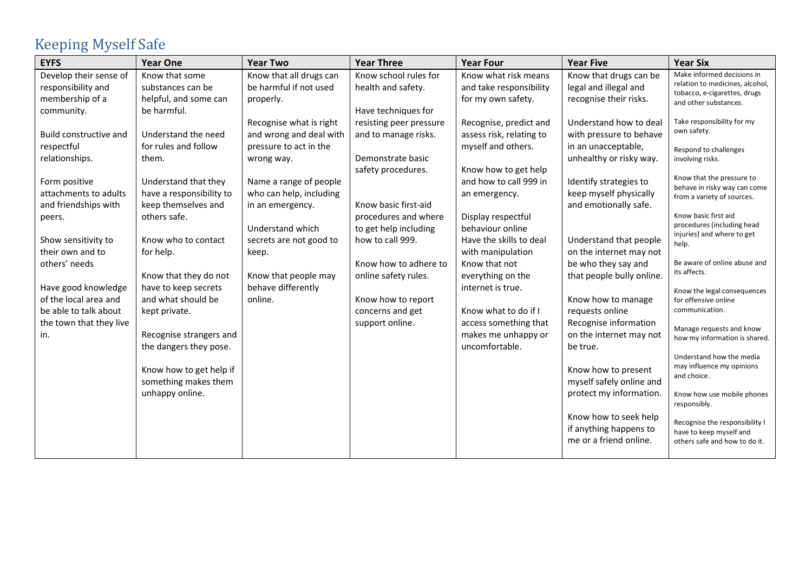# <span id="page-2-0"></span>Keeping Myself Safe

| <b>EYFS</b>             | <b>Year One</b>          | <b>Year Two</b>         | <b>Year Three</b>       | <b>Year Four</b>         | <b>Year Five</b>          | <b>Year Six</b>                                                 |
|-------------------------|--------------------------|-------------------------|-------------------------|--------------------------|---------------------------|-----------------------------------------------------------------|
| Develop their sense of  | Know that some           | Know that all drugs can | Know school rules for   | Know what risk means     | Know that drugs can be    | Make informed decisions in                                      |
| responsibility and      | substances can be        | be harmful if not used  | health and safety.      | and take responsibility  | legal and illegal and     | relation to medicines, alcohol,<br>tobacco, e-cigarettes, drugs |
| membership of a         | helpful, and some can    | properly.               |                         | for my own safety.       | recognise their risks.    | and other substances.                                           |
| community.              | be harmful.              |                         | Have techniques for     |                          |                           |                                                                 |
|                         |                          | Recognise what is right | resisting peer pressure | Recognise, predict and   | Understand how to deal    | Take responsibility for my                                      |
| Build constructive and  | Understand the need      | and wrong and deal with | and to manage risks.    | assess risk, relating to | with pressure to behave   | own safety.                                                     |
| respectful              | for rules and follow     | pressure to act in the  |                         | myself and others.       | in an unacceptable,       | Respond to challenges                                           |
| relationships.          | them.                    | wrong way.              | Demonstrate basic       |                          | unhealthy or risky way.   | involving risks.                                                |
|                         |                          |                         | safety procedures.      | Know how to get help     |                           |                                                                 |
| Form positive           | Understand that they     | Name a range of people  |                         | and how to call 999 in   | Identify strategies to    | Know that the pressure to<br>behave in risky way can come       |
| attachments to adults   | have a responsibility to | who can help, including |                         | an emergency.            | keep myself physically    | from a variety of sources.                                      |
| and friendships with    | keep themselves and      | in an emergency.        | Know basic first-aid    |                          | and emotionally safe.     |                                                                 |
| peers.                  | others safe.             |                         | procedures and where    | Display respectful       |                           | Know basic first aid                                            |
|                         |                          | Understand which        | to get help including   | behaviour online         |                           | procedures (including head<br>injuries) and where to get        |
| Show sensitivity to     | Know who to contact      | secrets are not good to | how to call 999.        | Have the skills to deal  | Understand that people    | help.                                                           |
| their own and to        | for help.                | keep.                   |                         | with manipulation        | on the internet may not   |                                                                 |
| others' needs           |                          |                         | Know how to adhere to   | Know that not            | be who they say and       | Be aware of online abuse and                                    |
|                         | Know that they do not    | Know that people may    | online safety rules.    | everything on the        | that people bully online. | its affects.                                                    |
| Have good knowledge     | have to keep secrets     | behave differently      |                         | internet is true.        |                           | Know the legal consequences                                     |
| of the local area and   | and what should be       | online.                 | Know how to report      |                          | Know how to manage        | for offensive online                                            |
| be able to talk about   | kept private.            |                         | concerns and get        | Know what to do if I     | requests online           | communication.                                                  |
| the town that they live |                          |                         | support online.         | access something that    | Recognise information     |                                                                 |
| in.                     | Recognise strangers and  |                         |                         | makes me unhappy or      | on the internet may not   | Manage requests and know<br>how my information is shared.       |
|                         | the dangers they pose.   |                         |                         | uncomfortable.           | be true.                  |                                                                 |
|                         |                          |                         |                         |                          |                           | Understand how the media                                        |
|                         | Know how to get help if  |                         |                         |                          | Know how to present       | may influence my opinions                                       |
|                         | something makes them     |                         |                         |                          | myself safely online and  | and choice.                                                     |
|                         | unhappy online.          |                         |                         |                          | protect my information.   | Know how use mobile phones                                      |
|                         |                          |                         |                         |                          |                           | responsibly.                                                    |
|                         |                          |                         |                         |                          | Know how to seek help     |                                                                 |
|                         |                          |                         |                         |                          | if anything happens to    | Recognise the responsibility I<br>have to keep myself and       |
|                         |                          |                         |                         |                          | me or a friend online.    | others safe and how to do it.                                   |
|                         |                          |                         |                         |                          |                           |                                                                 |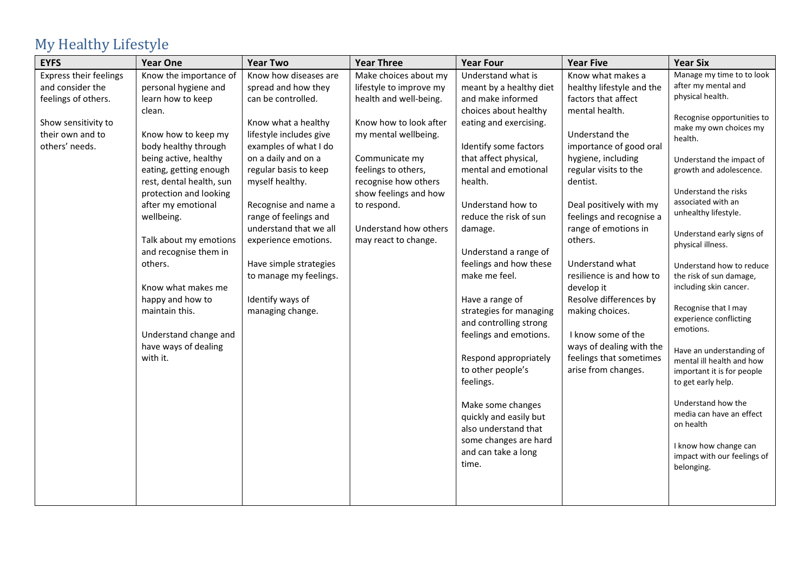# <span id="page-3-0"></span>My Healthy Lifestyle

| <b>EYFS</b>                   | <b>Year One</b>          | <b>Year Two</b>         | <b>Year Three</b>       | <b>Year Four</b>                             | <b>Year Five</b>          | <b>Year Six</b>                                |
|-------------------------------|--------------------------|-------------------------|-------------------------|----------------------------------------------|---------------------------|------------------------------------------------|
| <b>Express their feelings</b> | Know the importance of   | Know how diseases are   | Make choices about my   | Understand what is                           | Know what makes a         | Manage my time to to look                      |
| and consider the              | personal hygiene and     | spread and how they     | lifestyle to improve my | meant by a healthy diet                      | healthy lifestyle and the | after my mental and                            |
| feelings of others.           | learn how to keep        | can be controlled.      | health and well-being.  | and make informed                            | factors that affect       | physical health.                               |
|                               | clean.                   |                         |                         | choices about healthy                        | mental health.            | Recognise opportunities to                     |
| Show sensitivity to           |                          | Know what a healthy     | Know how to look after  | eating and exercising.                       |                           | make my own choices my                         |
| their own and to              | Know how to keep my      | lifestyle includes give | my mental wellbeing.    |                                              | Understand the            | health.                                        |
| others' needs.                | body healthy through     | examples of what I do   |                         | Identify some factors                        | importance of good oral   |                                                |
|                               | being active, healthy    | on a daily and on a     | Communicate my          | that affect physical,                        | hygiene, including        | Understand the impact of                       |
|                               | eating, getting enough   | regular basis to keep   | feelings to others,     | mental and emotional                         | regular visits to the     | growth and adolescence.                        |
|                               | rest, dental health, sun | myself healthy.         | recognise how others    | health.                                      | dentist.                  |                                                |
|                               | protection and looking   |                         | show feelings and how   |                                              |                           | Understand the risks                           |
|                               | after my emotional       | Recognise and name a    | to respond.             | Understand how to                            | Deal positively with my   | associated with an                             |
|                               | wellbeing.               | range of feelings and   |                         | reduce the risk of sun                       | feelings and recognise a  | unhealthy lifestyle.                           |
|                               |                          | understand that we all  | Understand how others   | damage.                                      | range of emotions in      | Understand early signs of                      |
|                               | Talk about my emotions   | experience emotions.    | may react to change.    |                                              | others.                   | physical illness.                              |
|                               | and recognise them in    |                         |                         | Understand a range of                        |                           |                                                |
|                               | others.                  | Have simple strategies  |                         | feelings and how these                       | Understand what           | Understand how to reduce                       |
|                               |                          | to manage my feelings.  |                         | make me feel.                                | resilience is and how to  | the risk of sun damage,                        |
|                               | Know what makes me       |                         |                         |                                              | develop it                | including skin cancer.                         |
|                               | happy and how to         | Identify ways of        |                         | Have a range of                              | Resolve differences by    |                                                |
|                               | maintain this.           | managing change.        |                         | strategies for managing                      | making choices.           | Recognise that I may<br>experience conflicting |
|                               |                          |                         |                         | and controlling strong                       |                           | emotions.                                      |
|                               | Understand change and    |                         |                         | feelings and emotions.                       | I know some of the        |                                                |
|                               | have ways of dealing     |                         |                         |                                              | ways of dealing with the  | Have an understanding of                       |
|                               | with it.                 |                         |                         | Respond appropriately                        | feelings that sometimes   | mental ill health and how                      |
|                               |                          |                         |                         | to other people's                            | arise from changes.       | important it is for people                     |
|                               |                          |                         |                         | feelings.                                    |                           | to get early help.                             |
|                               |                          |                         |                         | Make some changes                            |                           | Understand how the                             |
|                               |                          |                         |                         | quickly and easily but                       |                           | media can have an effect                       |
|                               |                          |                         |                         | also understand that                         |                           | on health                                      |
|                               |                          |                         |                         |                                              |                           |                                                |
|                               |                          |                         |                         | some changes are hard<br>and can take a long |                           | I know how change can                          |
|                               |                          |                         |                         | time.                                        |                           | impact with our feelings of                    |
|                               |                          |                         |                         |                                              |                           | belonging.                                     |
|                               |                          |                         |                         |                                              |                           |                                                |
|                               |                          |                         |                         |                                              |                           |                                                |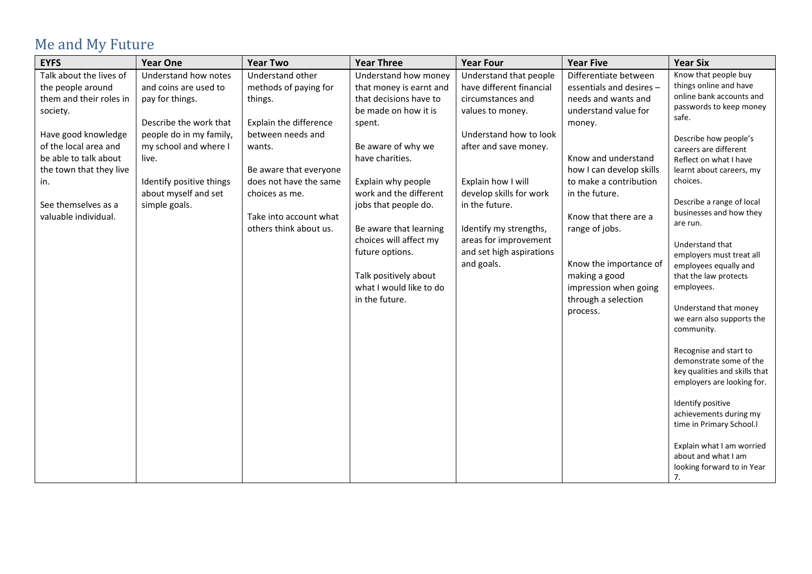# <span id="page-4-0"></span>Me and My Future

| <b>EYFS</b>             | <b>Year One</b>          | <b>Year Two</b>        | <b>Year Three</b>       | <b>Year Four</b>         | <b>Year Five</b>         | <b>Year Six</b>                         |
|-------------------------|--------------------------|------------------------|-------------------------|--------------------------|--------------------------|-----------------------------------------|
| Talk about the lives of | Understand how notes     | Understand other       | Understand how money    | Understand that people   | Differentiate between    | Know that people buy                    |
| the people around       | and coins are used to    | methods of paying for  | that money is earnt and | have different financial | essentials and desires - | things online and have                  |
| them and their roles in | pay for things.          | things.                | that decisions have to  | circumstances and        | needs and wants and      | online bank accounts and                |
| society.                |                          |                        | be made on how it is    | values to money.         | understand value for     | passwords to keep money<br>safe.        |
|                         | Describe the work that   | Explain the difference | spent.                  |                          | money.                   |                                         |
| Have good knowledge     | people do in my family,  | between needs and      |                         | Understand how to look   |                          | Describe how people's                   |
| of the local area and   | my school and where I    | wants.                 | Be aware of why we      | after and save money.    |                          | careers are different                   |
| be able to talk about   | live.                    |                        | have charities.         |                          | Know and understand      | Reflect on what I have                  |
| the town that they live |                          | Be aware that everyone |                         |                          | how I can develop skills | learnt about careers, my                |
| in.                     | Identify positive things | does not have the same | Explain why people      | Explain how I will       | to make a contribution   | choices.                                |
|                         | about myself and set     | choices as me.         | work and the different  | develop skills for work  | in the future.           |                                         |
| See themselves as a     | simple goals.            |                        | jobs that people do.    | in the future.           |                          | Describe a range of local               |
| valuable individual.    |                          | Take into account what |                         |                          | Know that there are a    | businesses and how they<br>are run.     |
|                         |                          | others think about us. | Be aware that learning  | Identify my strengths,   | range of jobs.           |                                         |
|                         |                          |                        | choices will affect my  | areas for improvement    |                          | Understand that                         |
|                         |                          |                        | future options.         | and set high aspirations |                          | employers must treat all                |
|                         |                          |                        |                         | and goals.               | Know the importance of   | employees equally and                   |
|                         |                          |                        | Talk positively about   |                          | making a good            | that the law protects                   |
|                         |                          |                        | what I would like to do |                          | impression when going    | employees.                              |
|                         |                          |                        | in the future.          |                          | through a selection      |                                         |
|                         |                          |                        |                         |                          | process.                 | Understand that money                   |
|                         |                          |                        |                         |                          |                          | we earn also supports the<br>community. |
|                         |                          |                        |                         |                          |                          |                                         |
|                         |                          |                        |                         |                          |                          | Recognise and start to                  |
|                         |                          |                        |                         |                          |                          | demonstrate some of the                 |
|                         |                          |                        |                         |                          |                          | key qualities and skills that           |
|                         |                          |                        |                         |                          |                          | employers are looking for.              |
|                         |                          |                        |                         |                          |                          |                                         |
|                         |                          |                        |                         |                          |                          | Identify positive                       |
|                         |                          |                        |                         |                          |                          | achievements during my                  |
|                         |                          |                        |                         |                          |                          | time in Primary School.I                |
|                         |                          |                        |                         |                          |                          | Explain what I am worried               |
|                         |                          |                        |                         |                          |                          | about and what I am                     |
|                         |                          |                        |                         |                          |                          | looking forward to in Year              |
|                         |                          |                        |                         |                          |                          | 7.                                      |